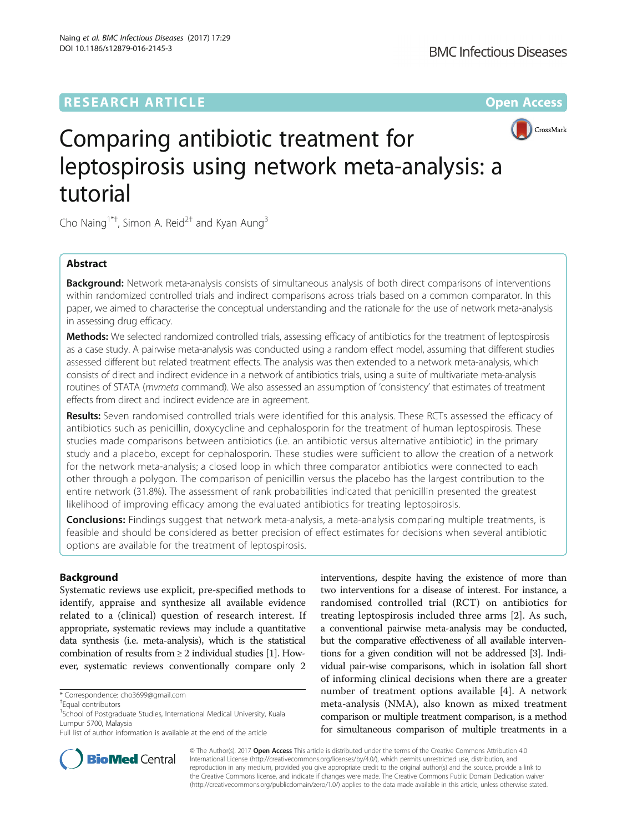## **RESEARCH ARTICLE External Structure Community Community Community Community Community Community Community Community**



# Comparing antibiotic treatment for leptospirosis using network meta-analysis: a tutorial

Cho Naing<sup>1\*†</sup>, Simon A. Reid<sup>2†</sup> and Kyan Aung<sup>3</sup>

## Abstract

**Background:** Network meta-analysis consists of simultaneous analysis of both direct comparisons of interventions within randomized controlled trials and indirect comparisons across trials based on a common comparator. In this paper, we aimed to characterise the conceptual understanding and the rationale for the use of network meta-analysis in assessing drug efficacy.

Methods: We selected randomized controlled trials, assessing efficacy of antibiotics for the treatment of leptospirosis as a case study. A pairwise meta-analysis was conducted using a random effect model, assuming that different studies assessed different but related treatment effects. The analysis was then extended to a network meta-analysis, which consists of direct and indirect evidence in a network of antibiotics trials, using a suite of multivariate meta-analysis routines of STATA (mvmeta command). We also assessed an assumption of 'consistency' that estimates of treatment effects from direct and indirect evidence are in agreement.

Results: Seven randomised controlled trials were identified for this analysis. These RCTs assessed the efficacy of antibiotics such as penicillin, doxycycline and cephalosporin for the treatment of human leptospirosis. These studies made comparisons between antibiotics (i.e. an antibiotic versus alternative antibiotic) in the primary study and a placebo, except for cephalosporin. These studies were sufficient to allow the creation of a network for the network meta-analysis; a closed loop in which three comparator antibiotics were connected to each other through a polygon. The comparison of penicillin versus the placebo has the largest contribution to the entire network (31.8%). The assessment of rank probabilities indicated that penicillin presented the greatest likelihood of improving efficacy among the evaluated antibiotics for treating leptospirosis.

**Conclusions:** Findings suggest that network meta-analysis, a meta-analysis comparing multiple treatments, is feasible and should be considered as better precision of effect estimates for decisions when several antibiotic options are available for the treatment of leptospirosis.

## Background

Systematic reviews use explicit, pre-specified methods to identify, appraise and synthesize all available evidence related to a (clinical) question of research interest. If appropriate, systematic reviews may include a quantitative data synthesis (i.e. meta-analysis), which is the statistical combination of results from  $\geq 2$  individual studies [[1\]](#page-7-0). However, systematic reviews conventionally compare only 2

interventions, despite having the existence of more than two interventions for a disease of interest. For instance, a randomised controlled trial (RCT) on antibiotics for treating leptospirosis included three arms [\[2](#page-7-0)]. As such, a conventional pairwise meta-analysis may be conducted, but the comparative effectiveness of all available interventions for a given condition will not be addressed [\[3\]](#page-7-0). Individual pair-wise comparisons, which in isolation fall short of informing clinical decisions when there are a greater number of treatment options available [\[4](#page-7-0)]. A network meta-analysis (NMA), also known as mixed treatment comparison or multiple treatment comparison, is a method for simultaneous comparison of multiple treatments in a



© The Author(s). 2017 **Open Access** This article is distributed under the terms of the Creative Commons Attribution 4.0 International License [\(http://creativecommons.org/licenses/by/4.0/](http://creativecommons.org/licenses/by/4.0/)), which permits unrestricted use, distribution, and reproduction in any medium, provided you give appropriate credit to the original author(s) and the source, provide a link to the Creative Commons license, and indicate if changes were made. The Creative Commons Public Domain Dedication waiver [\(http://creativecommons.org/publicdomain/zero/1.0/](http://creativecommons.org/publicdomain/zero/1.0/)) applies to the data made available in this article, unless otherwise stated.

<sup>\*</sup> Correspondence: [cho3699@gmail.com](mailto:cho3699@gmail.com) †

<sup>&</sup>lt;sup>+</sup>Equal contributors

<sup>&</sup>lt;sup>1</sup>School of Postgraduate Studies, International Medical University, Kuala Lumpur 5700, Malaysia

Full list of author information is available at the end of the article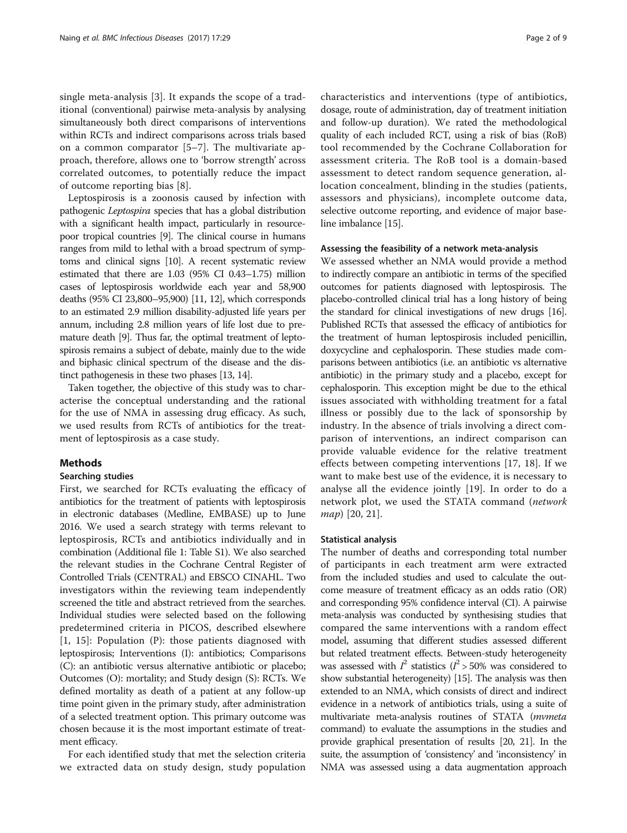single meta-analysis [[3\]](#page-7-0). It expands the scope of a traditional (conventional) pairwise meta-analysis by analysing simultaneously both direct comparisons of interventions within RCTs and indirect comparisons across trials based on a common comparator [[5](#page-7-0)–[7\]](#page-7-0). The multivariate approach, therefore, allows one to 'borrow strength' across correlated outcomes, to potentially reduce the impact of outcome reporting bias [\[8](#page-7-0)].

Leptospirosis is a zoonosis caused by infection with pathogenic Leptospira species that has a global distribution with a significant health impact, particularly in resourcepoor tropical countries [[9\]](#page-7-0). The clinical course in humans ranges from mild to lethal with a broad spectrum of symptoms and clinical signs [[10](#page-7-0)]. A recent systematic review estimated that there are 1.03 (95% CI 0.43–1.75) million cases of leptospirosis worldwide each year and 58,900 deaths (95% CI 23,800–95,900) [[11](#page-7-0), [12](#page-7-0)], which corresponds to an estimated 2.9 million disability-adjusted life years per annum, including 2.8 million years of life lost due to premature death [[9](#page-7-0)]. Thus far, the optimal treatment of leptospirosis remains a subject of debate, mainly due to the wide and biphasic clinical spectrum of the disease and the distinct pathogenesis in these two phases [\[13, 14\]](#page-7-0).

Taken together, the objective of this study was to characterise the conceptual understanding and the rational for the use of NMA in assessing drug efficacy. As such, we used results from RCTs of antibiotics for the treatment of leptospirosis as a case study.

## Methods

## Searching studies

First, we searched for RCTs evaluating the efficacy of antibiotics for the treatment of patients with leptospirosis in electronic databases (Medline, EMBASE) up to June 2016. We used a search strategy with terms relevant to leptospirosis, RCTs and antibiotics individually and in combination (Additional file [1](#page-7-0): Table S1). We also searched the relevant studies in the Cochrane Central Register of Controlled Trials (CENTRAL) and EBSCO CINAHL. Two investigators within the reviewing team independently screened the title and abstract retrieved from the searches. Individual studies were selected based on the following predetermined criteria in PICOS, described elsewhere [[1, 15\]](#page-7-0): Population (P): those patients diagnosed with leptospirosis; Interventions (I): antibiotics; Comparisons (C): an antibiotic versus alternative antibiotic or placebo; Outcomes (O): mortality; and Study design (S): RCTs. We defined mortality as death of a patient at any follow-up time point given in the primary study, after administration of a selected treatment option. This primary outcome was chosen because it is the most important estimate of treatment efficacy.

For each identified study that met the selection criteria we extracted data on study design, study population characteristics and interventions (type of antibiotics, dosage, route of administration, day of treatment initiation and follow-up duration). We rated the methodological quality of each included RCT, using a risk of bias (RoB) tool recommended by the Cochrane Collaboration for assessment criteria. The RoB tool is a domain-based assessment to detect random sequence generation, allocation concealment, blinding in the studies (patients, assessors and physicians), incomplete outcome data, selective outcome reporting, and evidence of major baseline imbalance [\[15\]](#page-7-0).

## Assessing the feasibility of a network meta-analysis

We assessed whether an NMA would provide a method to indirectly compare an antibiotic in terms of the specified outcomes for patients diagnosed with leptospirosis. The placebo-controlled clinical trial has a long history of being the standard for clinical investigations of new drugs [\[16](#page-7-0)]. Published RCTs that assessed the efficacy of antibiotics for the treatment of human leptospirosis included penicillin, doxycycline and cephalosporin. These studies made comparisons between antibiotics (i.e. an antibiotic vs alternative antibiotic) in the primary study and a placebo, except for cephalosporin. This exception might be due to the ethical issues associated with withholding treatment for a fatal illness or possibly due to the lack of sponsorship by industry. In the absence of trials involving a direct comparison of interventions, an indirect comparison can provide valuable evidence for the relative treatment effects between competing interventions [\[17](#page-8-0), [18](#page-8-0)]. If we want to make best use of the evidence, it is necessary to analyse all the evidence jointly [[19\]](#page-8-0). In order to do a network plot, we used the STATA command (network map) [[20, 21\]](#page-8-0).

## Statistical analysis

The number of deaths and corresponding total number of participants in each treatment arm were extracted from the included studies and used to calculate the outcome measure of treatment efficacy as an odds ratio (OR) and corresponding 95% confidence interval (CI). A pairwise meta-analysis was conducted by synthesising studies that compared the same interventions with a random effect model, assuming that different studies assessed different but related treatment effects. Between-study heterogeneity was assessed with  $I^2$  statistics ( $I^2 > 50\%$  was considered to show substantial heterogeneity) [\[15\]](#page-7-0). The analysis was then extended to an NMA, which consists of direct and indirect evidence in a network of antibiotics trials, using a suite of multivariate meta-analysis routines of STATA (mvmeta command) to evaluate the assumptions in the studies and provide graphical presentation of results [[20](#page-8-0), [21](#page-8-0)]. In the suite, the assumption of 'consistency' and 'inconsistency' in NMA was assessed using a data augmentation approach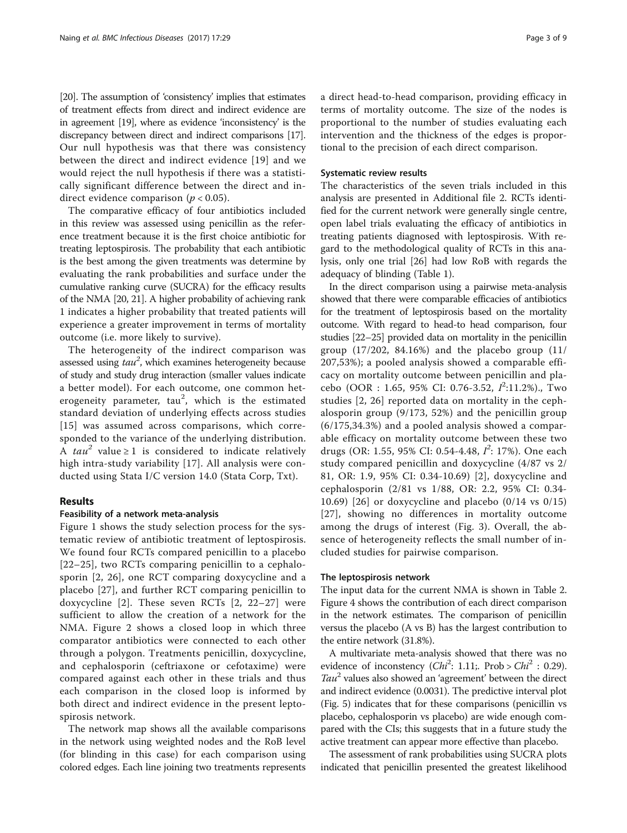[[20](#page-8-0)]. The assumption of 'consistency' implies that estimates of treatment effects from direct and indirect evidence are in agreement [\[19\]](#page-8-0), where as evidence 'inconsistency' is the discrepancy between direct and indirect comparisons [\[17](#page-8-0)]. Our null hypothesis was that there was consistency between the direct and indirect evidence [[19](#page-8-0)] and we would reject the null hypothesis if there was a statistically significant difference between the direct and indirect evidence comparison ( $p < 0.05$ ).

The comparative efficacy of four antibiotics included in this review was assessed using penicillin as the reference treatment because it is the first choice antibiotic for treating leptospirosis. The probability that each antibiotic is the best among the given treatments was determine by evaluating the rank probabilities and surface under the cumulative ranking curve (SUCRA) for the efficacy results of the NMA [[20](#page-8-0), [21](#page-8-0)]. A higher probability of achieving rank 1 indicates a higher probability that treated patients will experience a greater improvement in terms of mortality outcome (i.e. more likely to survive).

The heterogeneity of the indirect comparison was assessed using  $tau^2$ , which examines heterogeneity because of study and study drug interaction (smaller values indicate a better model). For each outcome, one common heterogeneity parameter,  $tau^2$ , which is the estimated standard deviation of underlying effects across studies [[15](#page-7-0)] was assumed across comparisons, which corresponded to the variance of the underlying distribution. A  $tau^2$  value ≥ 1 is considered to indicate relatively high intra-study variability [[17](#page-8-0)]. All analysis were conducted using Stata I/C version 14.0 (Stata Corp, Txt).

## Results

## Feasibility of a network meta-analysis

Figure [1](#page-3-0) shows the study selection process for the systematic review of antibiotic treatment of leptospirosis. We found four RCTs compared penicillin to a placebo [[22](#page-8-0)–[25\]](#page-8-0), two RCTs comparing penicillin to a cephalosporin [[2,](#page-7-0) [26](#page-8-0)], one RCT comparing doxycycline and a placebo [[27](#page-8-0)], and further RCT comparing penicillin to doxycycline [[2](#page-7-0)]. These seven RCTs [[2,](#page-7-0) [22](#page-8-0)–[27\]](#page-8-0) were sufficient to allow the creation of a network for the NMA. Figure [2](#page-3-0) shows a closed loop in which three comparator antibiotics were connected to each other through a polygon. Treatments penicillin, doxycycline, and cephalosporin (ceftriaxone or cefotaxime) were compared against each other in these trials and thus each comparison in the closed loop is informed by both direct and indirect evidence in the present leptospirosis network.

The network map shows all the available comparisons in the network using weighted nodes and the RoB level (for blinding in this case) for each comparison using colored edges. Each line joining two treatments represents a direct head-to-head comparison, providing efficacy in terms of mortality outcome. The size of the nodes is proportional to the number of studies evaluating each intervention and the thickness of the edges is proportional to the precision of each direct comparison.

## Systematic review results

The characteristics of the seven trials included in this analysis are presented in Additional file [2.](#page-7-0) RCTs identified for the current network were generally single centre, open label trials evaluating the efficacy of antibiotics in treating patients diagnosed with leptospirosis. With regard to the methodological quality of RCTs in this analysis, only one trial [\[26\]](#page-8-0) had low RoB with regards the adequacy of blinding (Table [1](#page-4-0)).

In the direct comparison using a pairwise meta-analysis showed that there were comparable efficacies of antibiotics for the treatment of leptospirosis based on the mortality outcome. With regard to head-to head comparison, four studies [[22](#page-8-0)–[25](#page-8-0)] provided data on mortality in the penicillin group (17/202, 84.16%) and the placebo group (11/ 207,53%); a pooled analysis showed a comparable efficacy on mortality outcome between penicillin and placebo (OOR : 1.65, 95% CI: 0.76-3.52,  $I^2$ :11.2%)., Two studies [[2](#page-7-0), [26](#page-8-0)] reported data on mortality in the cephalosporin group (9/173, 52%) and the penicillin group (6/175,34.3%) and a pooled analysis showed a comparable efficacy on mortality outcome between these two drugs (OR: 1.55, 95% CI: 0.54-4.48,  $I^2$ : 17%). One each study compared penicillin and doxycycline (4/87 vs 2/ 81, OR: 1.9, 95% CI: 0.34-10.69) [\[2](#page-7-0)], doxycycline and cephalosporin (2/81 vs 1/88, OR: 2.2, 95% CI: 0.34- 10.69) [[26](#page-8-0)] or doxycycline and placebo  $(0/14 \text{ vs } 0/15)$ [[27](#page-8-0)], showing no differences in mortality outcome among the drugs of interest (Fig. [3\)](#page-4-0). Overall, the absence of heterogeneity reflects the small number of included studies for pairwise comparison.

#### The leptospirosis network

The input data for the current NMA is shown in Table [2](#page-5-0). Figure [4](#page-5-0) shows the contribution of each direct comparison in the network estimates. The comparison of penicillin versus the placebo (A vs B) has the largest contribution to the entire network (31.8%).

A multivariate meta-analysis showed that there was no evidence of inconstency (Chi<sup>2</sup>: 1.11;. Prob > Chi<sup>2</sup> : 0.29). Tau<sup>2</sup> values also showed an 'agreement' between the direct and indirect evidence (0.0031). The predictive interval plot (Fig. [5](#page-6-0)) indicates that for these comparisons (penicillin vs placebo, cephalosporin vs placebo) are wide enough compared with the CIs; this suggests that in a future study the active treatment can appear more effective than placebo.

The assessment of rank probabilities using SUCRA plots indicated that penicillin presented the greatest likelihood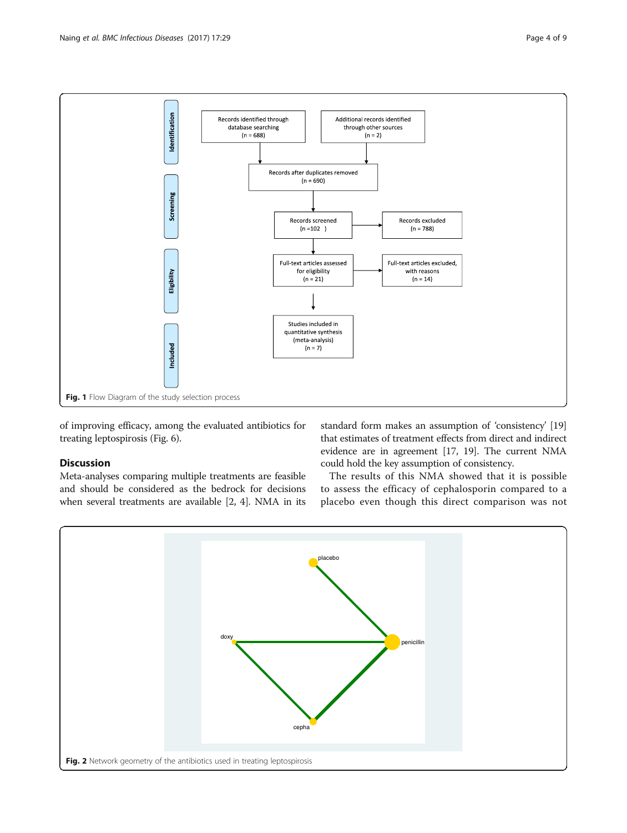<span id="page-3-0"></span>

of improving efficacy, among the evaluated antibiotics for treating leptospirosis (Fig. [6](#page-6-0)).

## **Discussion**

Meta-analyses comparing multiple treatments are feasible and should be considered as the bedrock for decisions when several treatments are available [\[2](#page-7-0), [4](#page-7-0)]. NMA in its standard form makes an assumption of 'consistency' [[19](#page-8-0)] that estimates of treatment effects from direct and indirect evidence are in agreement [[17](#page-8-0), [19\]](#page-8-0). The current NMA could hold the key assumption of consistency.

The results of this NMA showed that it is possible to assess the efficacy of cephalosporin compared to a placebo even though this direct comparison was not

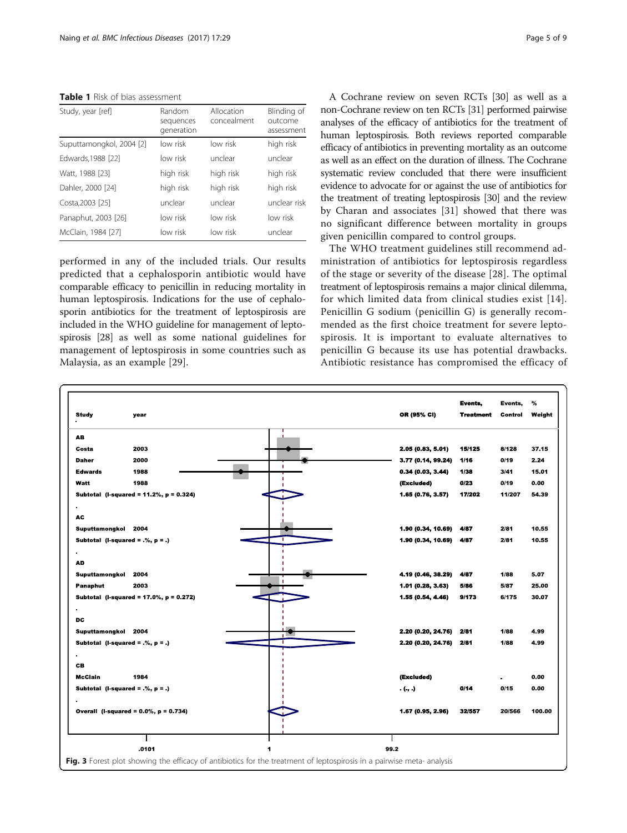<span id="page-4-0"></span>Table 1 Risk of bias assessment

| Study, year [ref]        | Random<br>sequences<br>generation | Allocation<br>concealment | Blinding of<br>outcome<br>assessment |  |
|--------------------------|-----------------------------------|---------------------------|--------------------------------------|--|
| Suputtamongkol, 2004 [2] | low risk                          | low risk                  | high risk                            |  |
| Edwards, 1988 [22]       | low risk                          | unclear                   | unclear                              |  |
| Watt, 1988 [23]          | high risk                         | high risk                 | high risk                            |  |
| Dahler, 2000 [24]        | high risk                         | high risk                 | high risk                            |  |
| Costa, 2003 [25]         | unclear                           | unclear                   | unclear risk                         |  |
| Panaphut, 2003 [26]      | low risk                          | low risk                  | low risk                             |  |
| McClain, 1984 [27]       | low risk                          | low risk                  | unclear                              |  |

performed in any of the included trials. Our results predicted that a cephalosporin antibiotic would have comparable efficacy to penicillin in reducing mortality in human leptospirosis. Indications for the use of cephalosporin antibiotics for the treatment of leptospirosis are included in the WHO guideline for management of leptospirosis [\[28\]](#page-8-0) as well as some national guidelines for management of leptospirosis in some countries such as Malaysia, as an example [[29](#page-8-0)].

A Cochrane review on seven RCTs [[30](#page-8-0)] as well as a non-Cochrane review on ten RCTs [[31](#page-8-0)] performed pairwise analyses of the efficacy of antibiotics for the treatment of human leptospirosis. Both reviews reported comparable efficacy of antibiotics in preventing mortality as an outcome as well as an effect on the duration of illness. The Cochrane systematic review concluded that there were insufficient evidence to advocate for or against the use of antibiotics for the treatment of treating leptospirosis [[30](#page-8-0)] and the review by Charan and associates [[31\]](#page-8-0) showed that there was no significant difference between mortality in groups given penicillin compared to control groups.

The WHO treatment guidelines still recommend administration of antibiotics for leptospirosis regardless of the stage or severity of the disease [[28](#page-8-0)]. The optimal treatment of leptospirosis remains a major clinical dilemma, for which limited data from clinical studies exist [[14](#page-7-0)]. Penicillin G sodium (penicillin G) is generally recommended as the first choice treatment for severe leptospirosis. It is important to evaluate alternatives to penicillin G because its use has potential drawbacks. Antibiotic resistance has compromised the efficacy of



Fig. 3 Forest plot showing the efficacy of antibiotics for the treatment of leptospirosis in a pairwise meta- analysis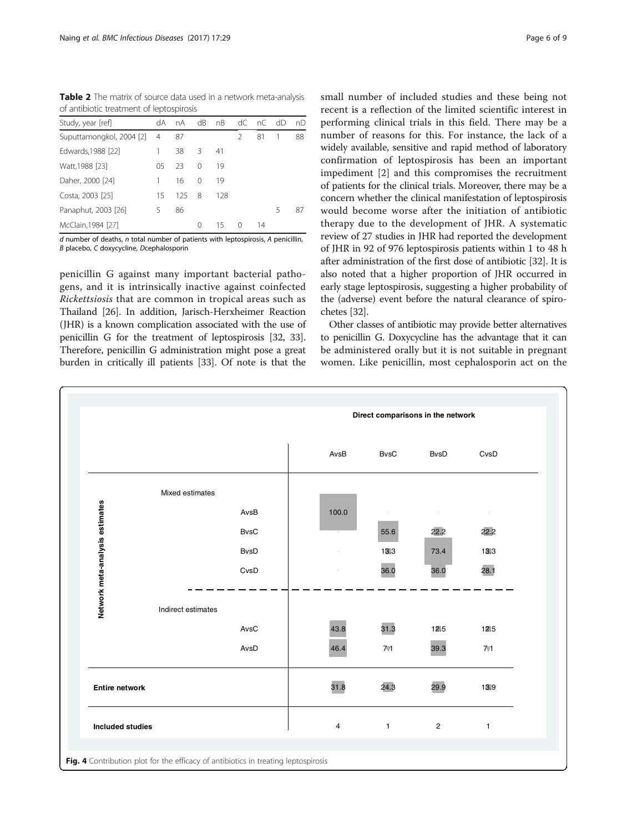<span id="page-5-0"></span>Table 2 The matrix of source data used in a network meta-analysis of antibiotic treatment of leptospirosis

| Study, year [ref]        | dA             | nA  |          | dB nB |                  | dC nC dD |   | – nD |
|--------------------------|----------------|-----|----------|-------|------------------|----------|---|------|
| Suputtamongkol, 2004 [2] | $\overline{4}$ | 87  |          |       | 2                | 81       |   | 88   |
| Edwards, 1988 [22]       | 1              | 38  | 3        | 41    |                  |          |   |      |
| Watt, 1988 [23]          | 05             | 23  | $\Omega$ | 19    |                  |          |   |      |
| Daher, 2000 [24]         |                | 16  | $\Omega$ | 19    |                  |          |   |      |
| Costa, 2003 [25]         | 15             | 125 | - 8      | 128   |                  |          |   |      |
| Panaphut, 2003 [26]      | 5              | 86  |          |       |                  |          | 5 | 87   |
| McClain, 1984 [27]       |                |     | 0        | 15    | $\left( \right)$ | 14       |   |      |

 $d$  number of deaths,  $n$  total number of patients with leptospirosis,  $A$  penicillin, B placebo, C doxycycline, Dcephalosporin

penicillin G against many important bacterial pathogens, and it is intrinsically inactive against coinfected Rickettsiosis that are common in tropical areas such as Thailand [\[26\]](#page-8-0). In addition, Jarisch-Herxheimer Reaction (JHR) is a known complication associated with the use of penicillin G for the treatment of leptospirosis [\[32, 33](#page-8-0)]. Therefore, penicillin G administration might pose a great burden in critically ill patients [\[33\]](#page-8-0). Of note is that the small number of included studies and these being not recent is a reflection of the limited scientific interest in performing clinical trials in this field. There may be a number of reasons for this. For instance, the lack of a widely available, sensitive and rapid method of laboratory confirmation of leptospirosis has been an important impediment [\[2](#page-7-0)] and this compromises the recruitment of patients for the clinical trials. Moreover, there may be a concern whether the clinical manifestation of leptospirosis would become worse after the initiation of antibiotic therapy due to the development of JHR. A systematic review of 27 studies in JHR had reported the development of JHR in 92 of 976 leptospirosis patients within 1 to 48 h after administration of the first dose of antibiotic [[32](#page-8-0)]. It is also noted that a higher proportion of JHR occurred in early stage leptospirosis, suggesting a higher probability of

Other classes of antibiotic may provide better alternatives to penicillin G. Doxycycline has the advantage that it can be administered orally but it is not suitable in pregnant women. Like penicillin, most cephalosporin act on the

the (adverse) event before the natural clearance of spiro-



chetes [\[32](#page-8-0)].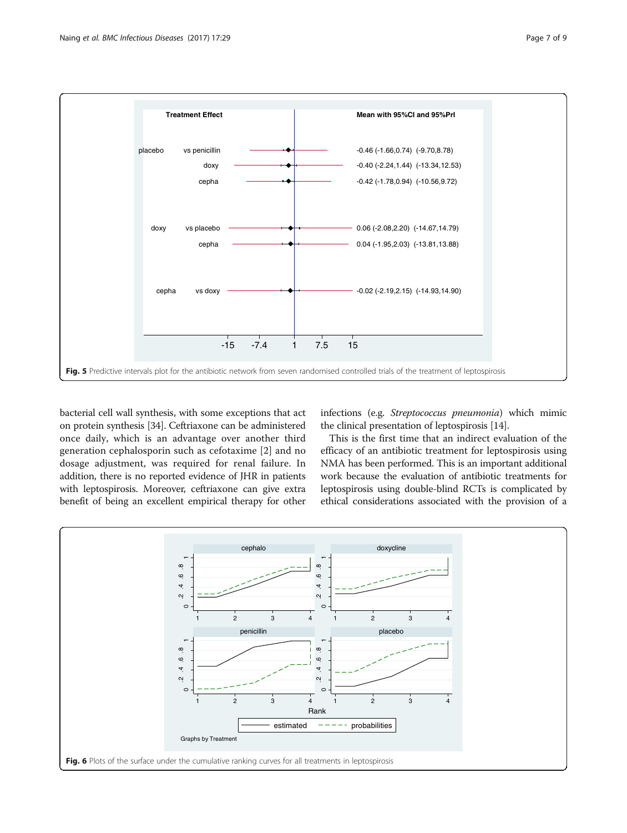<span id="page-6-0"></span>

bacterial cell wall synthesis, with some exceptions that act on protein synthesis [\[34\]](#page-8-0). Ceftriaxone can be administered once daily, which is an advantage over another third generation cephalosporin such as cefotaxime [\[2](#page-7-0)] and no dosage adjustment, was required for renal failure. In addition, there is no reported evidence of JHR in patients with leptospirosis. Moreover, ceftriaxone can give extra benefit of being an excellent empirical therapy for other

infections (e.g. Streptococcus pneumonia) which mimic the clinical presentation of leptospirosis [\[14\]](#page-7-0).

This is the first time that an indirect evaluation of the efficacy of an antibiotic treatment for leptospirosis using NMA has been performed. This is an important additional work because the evaluation of antibiotic treatments for leptospirosis using double-blind RCTs is complicated by ethical considerations associated with the provision of a

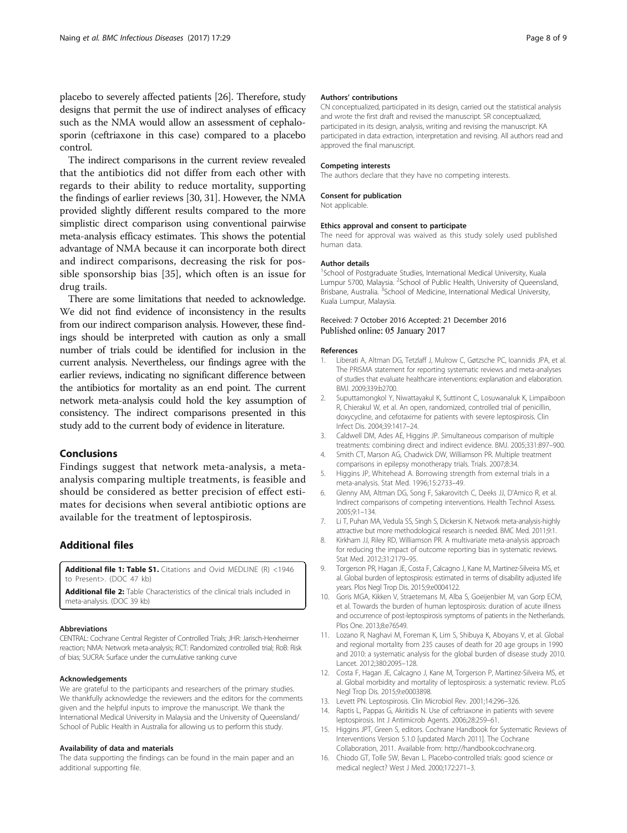<span id="page-7-0"></span>placebo to severely affected patients [\[26\]](#page-8-0). Therefore, study designs that permit the use of indirect analyses of efficacy such as the NMA would allow an assessment of cephalosporin (ceftriaxone in this case) compared to a placebo control.

The indirect comparisons in the current review revealed that the antibiotics did not differ from each other with regards to their ability to reduce mortality, supporting the findings of earlier reviews [\[30, 31\]](#page-8-0). However, the NMA provided slightly different results compared to the more simplistic direct comparison using conventional pairwise meta-analysis efficacy estimates. This shows the potential advantage of NMA because it can incorporate both direct and indirect comparisons, decreasing the risk for possible sponsorship bias [[35\]](#page-8-0), which often is an issue for drug trails.

There are some limitations that needed to acknowledge. We did not find evidence of inconsistency in the results from our indirect comparison analysis. However, these findings should be interpreted with caution as only a small number of trials could be identified for inclusion in the current analysis. Nevertheless, our findings agree with the earlier reviews, indicating no significant difference between the antibiotics for mortality as an end point. The current network meta-analysis could hold the key assumption of consistency. The indirect comparisons presented in this study add to the current body of evidence in literature.

## Conclusions

Findings suggest that network meta-analysis, a metaanalysis comparing multiple treatments, is feasible and should be considered as better precision of effect estimates for decisions when several antibiotic options are available for the treatment of leptospirosis.

## Additional files

[Additional file 1: Table S1.](dx.doi.org/10.1186/s12879-016-2145-3) Citations and Ovid MEDLINE (R) <1946 to Present>. (DOC 47 kb)

[Additional file 2:](dx.doi.org/10.1186/s12879-016-2145-3) Table Characteristics of the clinical trials included in meta-analysis. (DOC 39 kb)

#### Abbreviations

CENTRAL: Cochrane Central Register of Controlled Trials; JHR: Jarisch-Herxheimer reaction; NMA: Network meta-analysis; RCT: Randomized controlled trial; RoB: Risk of bias; SUCRA: Surface under the cumulative ranking curve

#### Acknowledgements

We are grateful to the participants and researchers of the primary studies. We thankfully acknowledge the reviewers and the editors for the comments given and the helpful inputs to improve the manuscript. We thank the International Medical University in Malaysia and the University of Queensland/ School of Public Health in Australia for allowing us to perform this study.

#### Availability of data and materials

The data supporting the findings can be found in the main paper and an additional supporting file.

#### Authors' contributions

CN conceptualized, participated in its design, carried out the statistical analysis and wrote the first draft and revised the manuscript. SR conceptualized, participated in its design, analysis, writing and revising the manuscript. KA participated in data extraction, interpretation and revising. All authors read and approved the final manuscript.

#### Competing interests

The authors declare that they have no competing interests.

#### Consent for publication

Not applicable.

#### Ethics approval and consent to participate

The need for approval was waived as this study solely used published human data.

#### Author details

<sup>1</sup>School of Postgraduate Studies, International Medical University, Kuala Lumpur 5700, Malaysia. <sup>2</sup>School of Public Health, University of Queensland, Brisbane, Australia. <sup>3</sup>School of Medicine, International Medical University, Kuala Lumpur, Malaysia.

## Received: 7 October 2016 Accepted: 21 December 2016 Published online: 05 January 2017

#### References

- 1. Liberati A, Altman DG, Tetzlaff J, Mulrow C, Gøtzsche PC, Ioannidis JPA, et al. The PRISMA statement for reporting systematic reviews and meta-analyses of studies that evaluate healthcare interventions: explanation and elaboration. BMJ. 2009;339:b2700.
- 2. Suputtamongkol Y, Niwattayakul K, Suttinont C, Losuwanaluk K, Limpaiboon R, Chierakul W, et al. An open, randomized, controlled trial of penicillin, doxycycline, and cefotaxime for patients with severe leptospirosis. Clin Infect Dis. 2004;39:1417–24.
- 3. Caldwell DM, Ades AE, Higgins JP. Simultaneous comparison of multiple treatments: combining direct and indirect evidence. BMJ. 2005;331:897–900.
- 4. Smith CT, Marson AG, Chadwick DW, Williamson PR. Multiple treatment comparisons in epilepsy monotherapy trials. Trials. 2007;8:34.
- 5. Higgins JP, Whitehead A. Borrowing strength from external trials in a meta-analysis. Stat Med. 1996;15:2733–49.
- 6. Glenny AM, Altman DG, Song F, Sakarovitch C, Deeks JJ, D'Amico R, et al. Indirect comparisons of competing interventions. Health Technol Assess. 2005;9:1–134.
- 7. Li T, Puhan MA, Vedula SS, Singh S, Dickersin K. Network meta-analysis-highly attractive but more methodological research is needed. BMC Med. 2011;9:1.
- 8. Kirkham JJ, Riley RD, Williamson PR. A multivariate meta-analysis approach for reducing the impact of outcome reporting bias in systematic reviews. Stat Med. 2012;31:2179–95.
- 9. Torgerson PR, Hagan JE, Costa F, Calcagno J, Kane M, Martinez-Silveira MS, et al. Global burden of leptospirosis: estimated in terms of disability adjusted life years. Plos Negl Trop Dis. 2015;9:e0004122.
- 10. Goris MGA, Kikken V, Straetemans M, Alba S, Goeijenbier M, van Gorp ECM, et al. Towards the burden of human leptospirosis: duration of acute illness and occurrence of post-leptospirosis symptoms of patients in the Netherlands. Plos One. 2013;8:e76549.
- 11. Lozano R, Naghavi M, Foreman K, Lim S, Shibuya K, Aboyans V, et al. Global and regional mortality from 235 causes of death for 20 age groups in 1990 and 2010: a systematic analysis for the global burden of disease study 2010. Lancet. 2012;380:2095–128.
- 12. Costa F, Hagan JE, Calcagno J, Kane M, Torgerson P, Martinez-Silveira MS, et al. Global morbidity and mortality of leptospirosis: a systematic review. PLoS Negl Trop Dis. 2015;9:e0003898.
- 13. Levett PN. Leptospirosis. Clin Microbiol Rev. 2001;14:296–326.
- 14. Raptis L, Pappas G, Akritidis N. Use of ceftriaxone in patients with severe leptospirosis. Int J Antimicrob Agents. 2006;28:259–61.
- 15. Higgins JPT, Green S, editors. Cochrane Handbook for Systematic Reviews of Interventions Version 5.1.0 [updated March 2011]. The Cochrane Collaboration, 2011. Available from: [http://handbook.cochrane.org.](http://handbook.cochrane.org)
- 16. Chiodo GT, Tolle SW, Bevan L. Placebo-controlled trials: good science or medical neglect? West J Med. 2000;172:271–3.